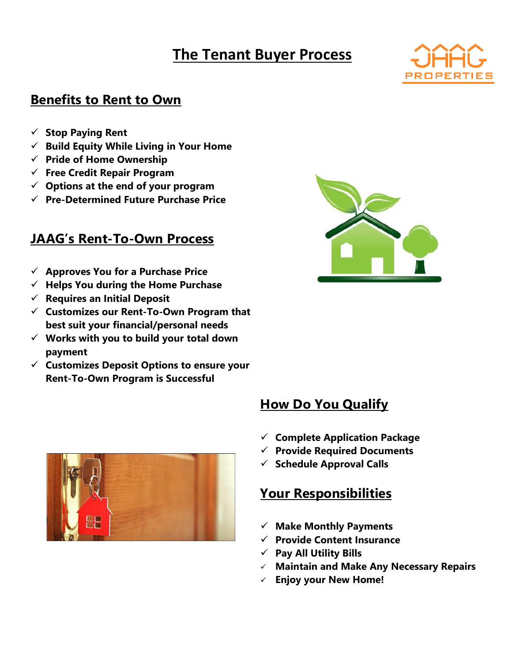# **The Tenant Buyer Process**



#### **Benefits to Rent to Own**

- ✓ **Stop Paying Rent**
- ✓ **Build Equity While Living in Your Home**
- ✓ **Pride of Home Ownership**
- ✓ **Free Credit Repair Program**
- ✓ **Options at the end of your program**
- ✓ **Pre-Determined Future Purchase Price**

### **JAAG's Rent-To-Own Process**

- ✓ **Approves You for a Purchase Price**
- ✓ **Helps You during the Home Purchase**
- ✓ **Requires an Initial Deposit**
- ✓ **Customizes our Rent-To-Own Program that best suit your financial/personal needs**
- ✓ **Works with you to build your total down payment**
- ✓ **Customizes Deposit Options to ensure your Rent-To-Own Program is Successful**



## **How Do You Qualify**

- ✓ **Complete Application Package**
- ✓ **Provide Required Documents**
- ✓ **Schedule Approval Calls**

### **Your Responsibilities**

- ✓ **Make Monthly Payments**
- ✓ **Provide Content Insurance**
- ✓ **Pay All Utility Bills**
- ✓ **Maintain and Make Any Necessary Repairs**
- ✓ **Enjoy your New Home!**